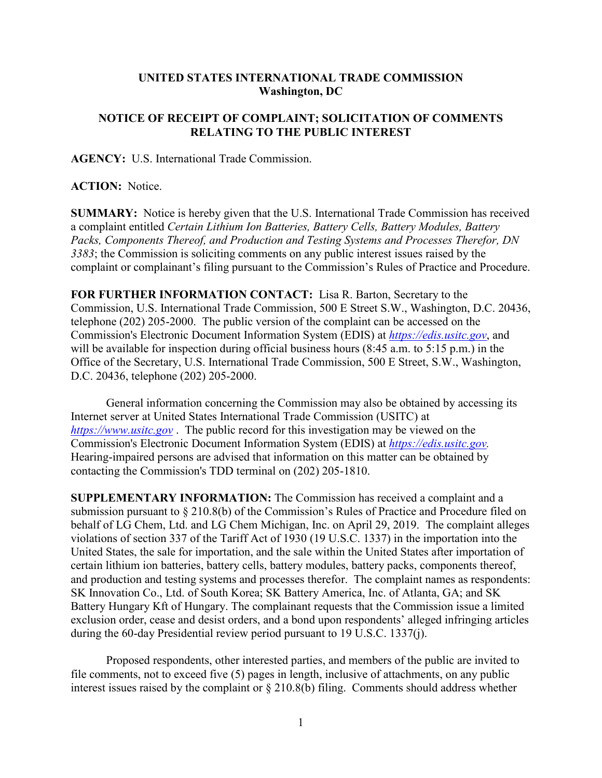## **UNITED STATES INTERNATIONAL TRADE COMMISSION Washington, DC**

## **NOTICE OF RECEIPT OF COMPLAINT; SOLICITATION OF COMMENTS RELATING TO THE PUBLIC INTEREST**

**AGENCY:** U.S. International Trade Commission.

## **ACTION:** Notice.

**SUMMARY:** Notice is hereby given that the U.S. International Trade Commission has received a complaint entitled *Certain Lithium Ion Batteries, Battery Cells, Battery Modules, Battery Packs, Components Thereof, and Production and Testing Systems and Processes Therefor, DN 3383*; the Commission is soliciting comments on any public interest issues raised by the complaint or complainant's filing pursuant to the Commission's Rules of Practice and Procedure.

**FOR FURTHER INFORMATION CONTACT:** Lisa R. Barton, Secretary to the Commission, U.S. International Trade Commission, 500 E Street S.W., Washington, D.C. 20436, telephone (202) 205-2000. The public version of the complaint can be accessed on the Commission's Electronic Document Information System (EDIS) at *[https://edis.usitc.gov](https://edis.usitc.gov/)*, and will be available for inspection during official business hours (8:45 a.m. to 5:15 p.m.) in the Office of the Secretary, U.S. International Trade Commission, 500 E Street, S.W., Washington, D.C. 20436, telephone (202) 205-2000.

General information concerning the Commission may also be obtained by accessing its Internet server at United States International Trade Commission (USITC) at *[https://www.usitc.gov](https://www.usitc.gov/)* . The public record for this investigation may be viewed on the Commission's Electronic Document Information System (EDIS) at *[https://edis.usitc.gov.](https://edis.usitc.gov/)* Hearing-impaired persons are advised that information on this matter can be obtained by contacting the Commission's TDD terminal on (202) 205-1810.

**SUPPLEMENTARY INFORMATION:** The Commission has received a complaint and a submission pursuant to § 210.8(b) of the Commission's Rules of Practice and Procedure filed on behalf of LG Chem, Ltd. and LG Chem Michigan, Inc. on April 29, 2019. The complaint alleges violations of section 337 of the Tariff Act of 1930 (19 U.S.C. 1337) in the importation into the United States, the sale for importation, and the sale within the United States after importation of certain lithium ion batteries, battery cells, battery modules, battery packs, components thereof, and production and testing systems and processes therefor. The complaint names as respondents: SK Innovation Co., Ltd. of South Korea; SK Battery America, Inc. of Atlanta, GA; and SK Battery Hungary Kft of Hungary. The complainant requests that the Commission issue a limited exclusion order, cease and desist orders, and a bond upon respondents' alleged infringing articles during the 60-day Presidential review period pursuant to 19 U.S.C. 1337(j).

Proposed respondents, other interested parties, and members of the public are invited to file comments, not to exceed five (5) pages in length, inclusive of attachments, on any public interest issues raised by the complaint or § 210.8(b) filing. Comments should address whether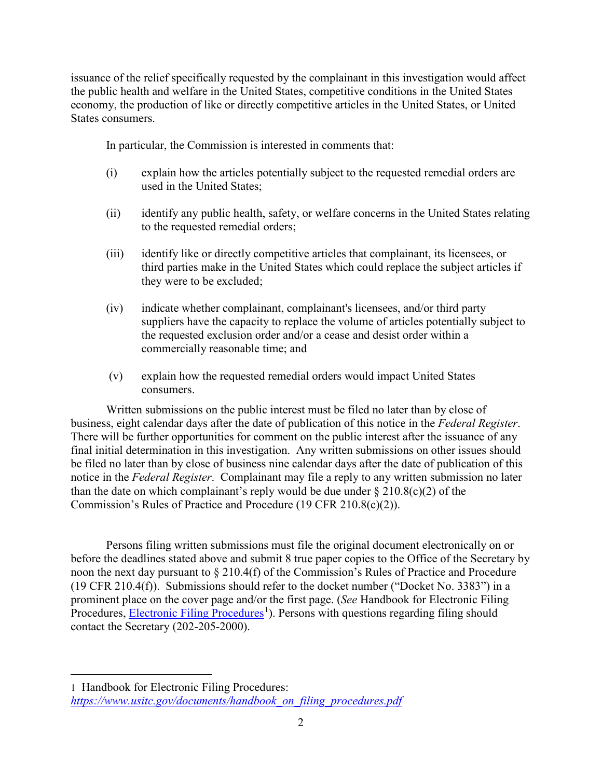issuance of the relief specifically requested by the complainant in this investigation would affect the public health and welfare in the United States, competitive conditions in the United States economy, the production of like or directly competitive articles in the United States, or United States consumers.

In particular, the Commission is interested in comments that:

- (i) explain how the articles potentially subject to the requested remedial orders are used in the United States;
- (ii) identify any public health, safety, or welfare concerns in the United States relating to the requested remedial orders;
- (iii) identify like or directly competitive articles that complainant, its licensees, or third parties make in the United States which could replace the subject articles if they were to be excluded;
- (iv) indicate whether complainant, complainant's licensees, and/or third party suppliers have the capacity to replace the volume of articles potentially subject to the requested exclusion order and/or a cease and desist order within a commercially reasonable time; and
- (v) explain how the requested remedial orders would impact United States consumers.

Written submissions on the public interest must be filed no later than by close of business, eight calendar days after the date of publication of this notice in the *Federal Register*. There will be further opportunities for comment on the public interest after the issuance of any final initial determination in this investigation. Any written submissions on other issues should be filed no later than by close of business nine calendar days after the date of publication of this notice in the *Federal Register*. Complainant may file a reply to any written submission no later than the date on which complainant's reply would be due under  $\S 210.8(c)(2)$  of the Commission's Rules of Practice and Procedure (19 CFR 210.8(c)(2)).

Persons filing written submissions must file the original document electronically on or before the deadlines stated above and submit 8 true paper copies to the Office of the Secretary by noon the next day pursuant to § 210.4(f) of the Commission's Rules of Practice and Procedure (19 CFR 210.4(f)). Submissions should refer to the docket number ("Docket No. 3383") in a prominent place on the cover page and/or the first page. (*See* Handbook for Electronic Filing Procedures, **Electronic Filing Procedures**<sup>[1](#page-1-0)</sup>). Persons with questions regarding filing should contact the Secretary (202-205-2000).

 $\overline{a}$ 

<span id="page-1-0"></span><sup>1</sup> Handbook for Electronic Filing Procedures: *[https://www.usitc.gov/documents/handbook\\_on\\_filing\\_procedures.pdf](https://www.usitc.gov/documents/handbook_on_filing_procedures.pdf)*